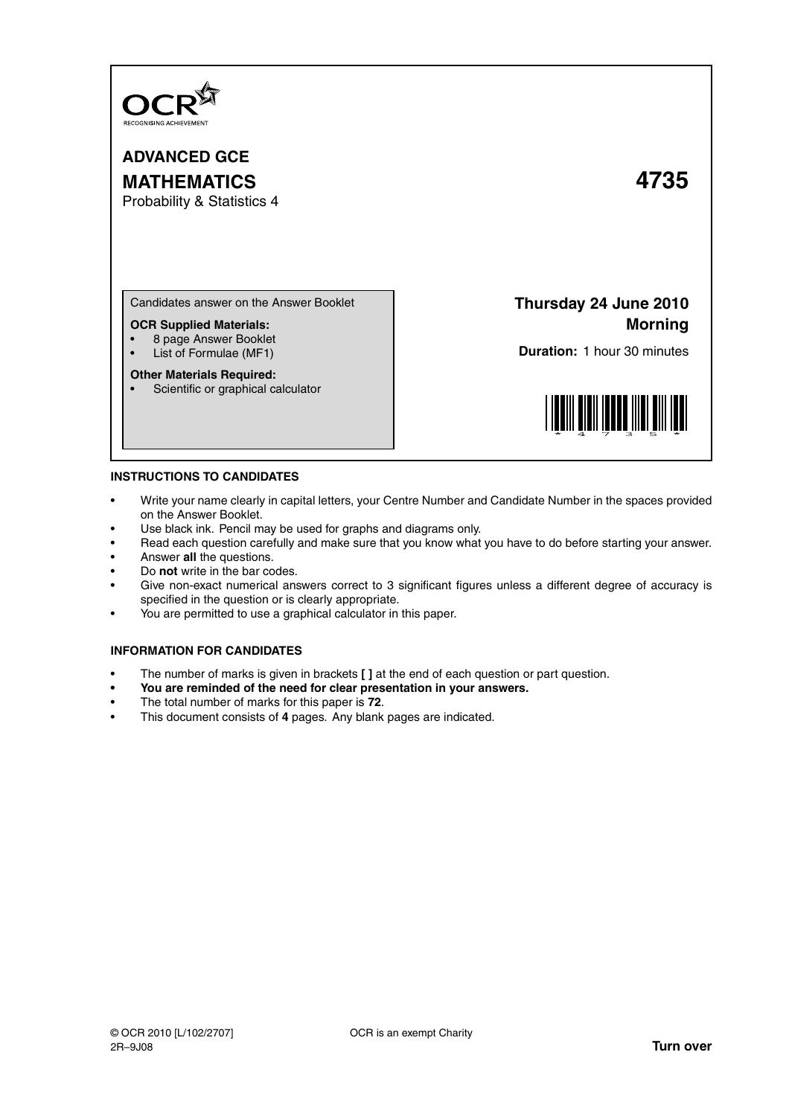

**ADVANCED GCE**

**MATHEMATICS 4735**

Probability & Statistics 4

Candidates answer on the Answer Booklet

### **OCR Supplied Materials:**

- 8 page Answer Booklet
- List of Formulae (MF1)

## **Other Materials Required:**

• Scientific or graphical calculator

**Thursday 24 June 2010 Morning**

**Duration:** 1 hour 30 minutes



### **INSTRUCTIONS TO CANDIDATES**

- Write your name clearly in capital letters, your Centre Number and Candidate Number in the spaces provided on the Answer Booklet.
- Use black ink. Pencil may be used for graphs and diagrams only.
- Read each question carefully and make sure that you know what you have to do before starting your answer.
- Answer **all** the questions.
- Do **not** write in the bar codes.
- Give non-exact numerical answers correct to 3 significant figures unless a different degree of accuracy is specified in the question or is clearly appropriate.
- You are permitted to use a graphical calculator in this paper.

## **INFORMATION FOR CANDIDATES**

- The number of marks is given in brackets **[ ]** at the end of each question or part question.
- **You are reminded of the need for clear presentation in your answers.**
- The total number of marks for this paper is **72**.
- This document consists of **4** pages. Any blank pages are indicated.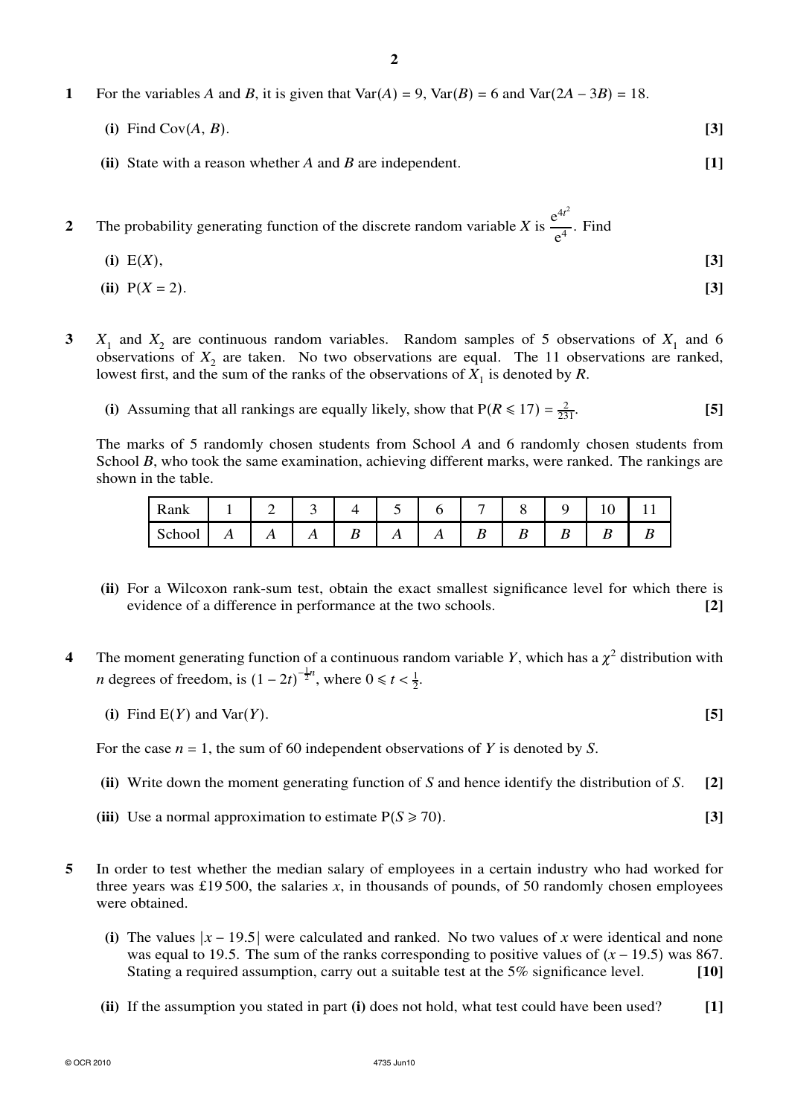- **1** For the variables *A* and *B*, it is given that  $Var(A) = 9$ ,  $Var(B) = 6$  and  $Var(2A 3B) = 18$ .
	- **(i)** Find Cov( $A, B$ ). **[3]**
	- **(ii)** State with a reason whether *A* and *B* are independent. **[1]**
- **2** The probability generating function of the discrete random variable *X* is  $\frac{e^{4t^2}}{4}$  $\frac{1}{e^4}$ . Find
	- (i)  $E(X)$ , [3]

(ii) 
$$
P(X = 2)
$$
. [3]

- **3**  $X_1$  and  $X_2$  are continuous random variables. Random samples of 5 observations of  $X_1$  and 6 observations of  $X_2$  are taken. No two observations are equal. The 11 observations are ranked, lowest first, and the sum of the ranks of the observations of  $\overrightarrow{X}_1$  is denoted by *R*.
	- **(i)** Assuming that all rankings are equally likely, show that  $P(R \le 17) = \frac{2}{231}$ .  $\frac{2}{231}$ . [5]

The marks of 5 randomly chosen students from School *A* and 6 randomly chosen students from School *B*, who took the same examination, achieving different marks, were ranked. The rankings are shown in the table.

| Rank   |                |                |                          |   |                |                |         |         | ◡ |  |
|--------|----------------|----------------|--------------------------|---|----------------|----------------|---------|---------|---|--|
| School | $\overline{1}$ | $\overline{ }$ | $\overline{\phantom{a}}$ | ∼ | $\overline{ }$ | $\overline{1}$ | n<br>., | 77<br>∼ |   |  |

- **(ii)** For a Wilcoxon rank-sum test, obtain the exact smallest significance level for which there is evidence of a difference in performance at the two schools. **[2]**
- **4** The moment generating function of a continuous random variable *Y*, which has a  $\chi^2$  distribution with *n* degrees of freedom, is  $(1 - 2t)^{-\frac{1}{2}n}$ , where  $0 \le t < \frac{1}{2}$ .

(i) Find 
$$
E(Y)
$$
 and  $Var(Y)$ . [5]

For the case *n* = 1, the sum of 60 independent observations of *Y* is denoted by *S*.

- **(ii)** Write down the moment generating function of *S* and hence identify the distribution of *S*. **[2]**
- **(iii)** Use a normal approximation to estimate  $P(S \ge 70)$ . [3]
- **5** In order to test whether the median salary of employees in a certain industry who had worked for three years was £19 500, the salaries *x*, in thousands of pounds, of 50 randomly chosen employees were obtained.
	- (i) The values  $|x 19.5|$  were calculated and ranked. No two values of x were identical and none was equal to 19.5. The sum of the ranks corresponding to positive values of  $(x - 19.5)$  was 867. Stating a required assumption, carry out a suitable test at the 5% significance level. **[10]**
	- **(ii)** If the assumption you stated in part **(i)** does not hold, what test could have been used? **[1]**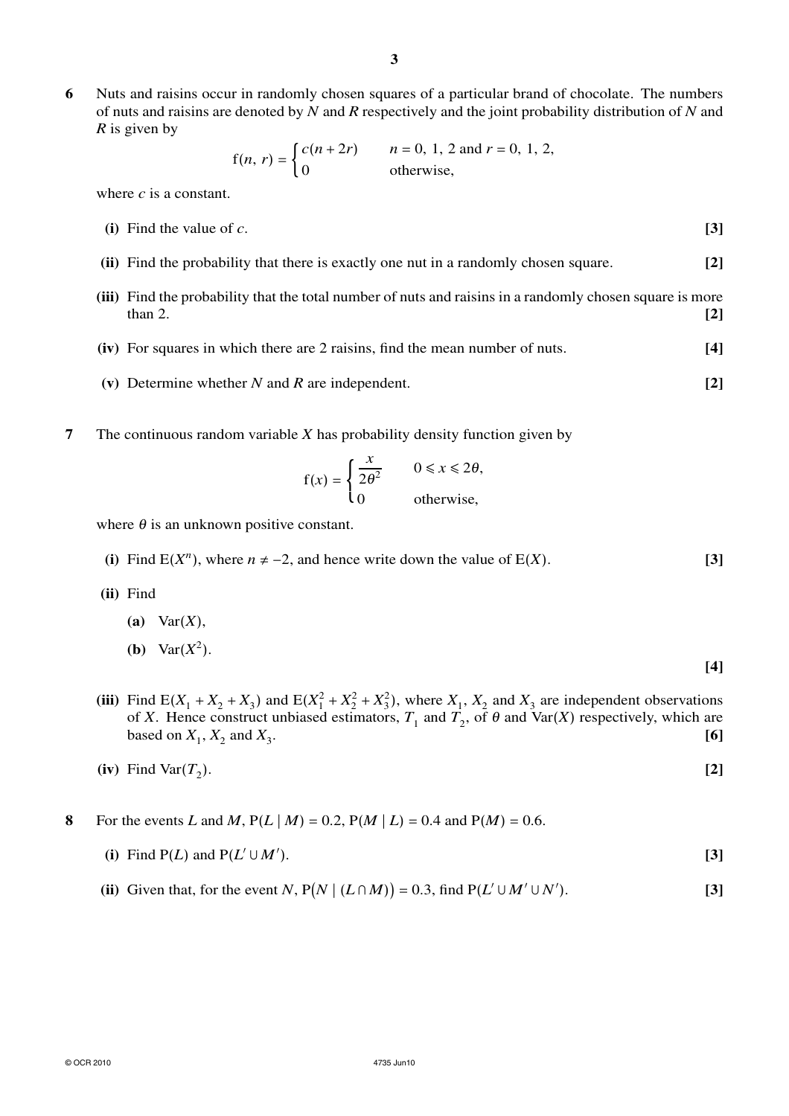**6** Nuts and raisins occur in randomly chosen squares of a particular brand of chocolate. The numbers of nuts and raisins are denoted by *N* and *R* respectively and the joint probability distribution of *N* and *R* is given by

$$
f(n, r) = \begin{cases} c(n + 2r) & n = 0, 1, 2 \text{ and } r = 0, 1, 2, \\ 0 & \text{otherwise,} \end{cases}
$$

where *c* is a constant.

- **(i)** Find the value of *c*.  $[3]$
- **(ii)** Find the probability that there is exactly one nut in a randomly chosen square. **[2]**
- **(iii)** Find the probability that the total number of nuts and raisins in a randomly chosen square is more  $\text{than 2.}$  [2]
- **(iv)** For squares in which there are 2 raisins, find the mean number of nuts. **[4]**
- **(v)** Determine whether *N* and *R* are independent. **[2]**
- **7** The continuous random variable *X* has probability density function given by

$$
f(x) = \begin{cases} \frac{x}{2\theta^2} & 0 \le x \le 2\theta, \\ 0 & \text{otherwise,} \end{cases}
$$

where  $\theta$  is an unknown positive constant.

- (i) Find  $E(X^n)$ , where  $n \neq -2$ , and hence write down the value of  $E(X)$ . **[3]**
- **(ii)** Find
	- **(a)** Var(*X*),
	- **(b)**  $Var(X^2)$ .

# **[4]**

- (iii) Find  $E(X_1 + X_2 + X_3)$  and  $E(X_1^2 + X_2^2 + X_3^2)$ , where  $X_1, X_2$  and  $X_3$  are independent observations of *X*. Hence construct unbiased estimators,  $T_1$  and  $T_2$ , of  $\theta$  and Var(*X*) respectively, which are based on  $X_1$ ,  $X_2$  and  $X_3$ . **[6]**
- $(iv)$  Find Var $(T_2)$ . ). **[2]**
- 8 For the events *L* and *M*,  $P(L | M) = 0.2$ ,  $P(M | L) = 0.4$  and  $P(M) = 0.6$ .
	- (i) Find  $P(L)$  and  $P(L' \cup M')$ ). **[3]**
	- (ii) Given that, for the event *N*,  $P(N | (L \cap M)) = 0.3$ , find  $P(L' \cup M' \cup N'$ ). **[3]**